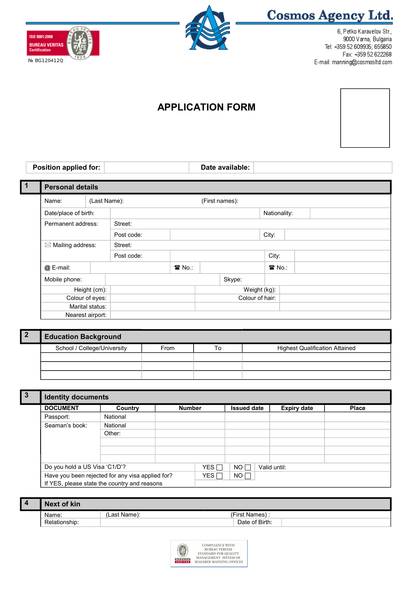



**Cosmos Agency Ltd.** 

6, Petko Karavelov Str., 9000 Varna, Bulgaria Tel: +359 52 609935; 655850 Fax: +359 52 622268 E-mail: manning@cosmosItd.com

## **APPLICATION FORM**

## **Position applied for: Date available:**

 $\overline{\mathsf{L}}$ 

|  | <b>Personal details</b>      |                 |            |                             |                |                 |  |  |
|--|------------------------------|-----------------|------------|-----------------------------|----------------|-----------------|--|--|
|  | (Last Name):<br>Name:        |                 |            |                             | (First names): |                 |  |  |
|  | Date/place of birth:         |                 |            |                             |                | Nationality:    |  |  |
|  | Permanent address:           |                 | Street:    |                             |                |                 |  |  |
|  | $\boxtimes$ Mailing address: |                 | Post code: |                             |                | City:           |  |  |
|  |                              |                 | Street:    |                             |                |                 |  |  |
|  |                              |                 | Post code: |                             |                | City:           |  |  |
|  | @ E-mail:                    |                 |            | $\mathbf{\mathcal{F}}$ No.: |                | 雷 No.:          |  |  |
|  | Mobile phone:                |                 |            |                             | Skype:         |                 |  |  |
|  |                              | Height (cm):    |            |                             |                | Weight (kg):    |  |  |
|  |                              | Colour of eyes: |            |                             |                | Colour of hair: |  |  |
|  |                              | Marital status: |            |                             |                |                 |  |  |
|  | Nearest airport:             |                 |            |                             |                |                 |  |  |

| <b>Education Background</b> |      |    |                                       |
|-----------------------------|------|----|---------------------------------------|
| School / College/University | From | To | <b>Highest Qualification Attained</b> |
|                             |      |    |                                       |
|                             |      |    |                                       |
|                             |      |    |                                       |

| 3 | <b>Identity documents</b>                                                                                                         |          |               |                  |                    |                    |              |
|---|-----------------------------------------------------------------------------------------------------------------------------------|----------|---------------|------------------|--------------------|--------------------|--------------|
|   | <b>DOCUMENT</b>                                                                                                                   | Country  | <b>Number</b> |                  | <b>Issued date</b> | <b>Expiry date</b> | <b>Place</b> |
|   | Passport:                                                                                                                         | National |               |                  |                    |                    |              |
|   | Seaman's book:                                                                                                                    | National |               |                  |                    |                    |              |
|   |                                                                                                                                   | Other:   |               |                  |                    |                    |              |
|   |                                                                                                                                   |          |               |                  |                    |                    |              |
|   |                                                                                                                                   |          |               |                  |                    |                    |              |
|   |                                                                                                                                   |          |               |                  |                    |                    |              |
|   | Do you hold a US Visa 'C1/D'?<br>Have you been rejected for any visa applied for?<br>If YES, please state the country and reasons |          |               | $YES$ $\Box$     | NO <sub>1</sub>    | Valid until:       |              |
|   |                                                                                                                                   |          |               | YES <sub>I</sub> | NO <sub>1</sub>    |                    |              |
|   |                                                                                                                                   |          |               |                  |                    |                    |              |

| <b>Next of kin</b> |              |                |  |
|--------------------|--------------|----------------|--|
| Name:              | 'Last Name): | (First Names)  |  |
| Relationship:      |              | Date of Birth: |  |

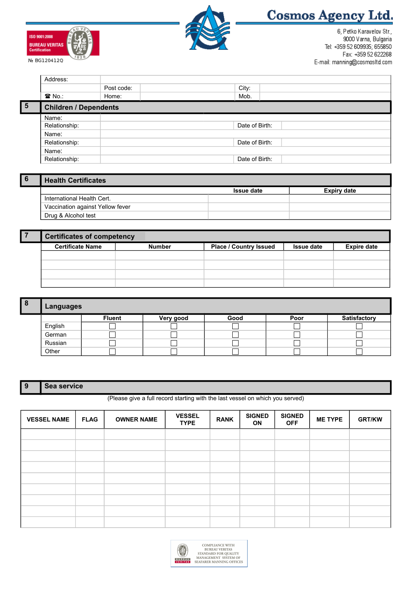



# **Cosmos Agency Ltd.**

6, Petko Karavelov Str., 9000 Varna, Bulgaria Tel: +359 52 609935; 655850 Fax: +359 52 622268 E-mail: manning@cosmosItd.com

|                | Address:                     |            |                |  |
|----------------|------------------------------|------------|----------------|--|
|                |                              | Post code: | City:          |  |
|                | $\mathbf{\widehat{a}}$ No.:  | Home:      | Mob.           |  |
| $\overline{5}$ | <b>Children / Dependents</b> |            |                |  |
|                | Name:                        |            |                |  |
|                | Relationship:                |            | Date of Birth: |  |
|                | Name:                        |            |                |  |
|                | Relationship:                |            | Date of Birth: |  |
|                | Name:                        |            |                |  |
|                | Relationship:                |            | Date of Birth: |  |
|                |                              |            |                |  |

| <b>Health Certificates</b>       |                   |             |
|----------------------------------|-------------------|-------------|
|                                  | <b>Issue date</b> | Expiry date |
| International Health Cert.       |                   |             |
| Vaccination against Yellow fever |                   |             |
| Drug & Alcohol test              |                   |             |

| <b>Certificates of competency</b> |               |                               |                   |                    |  |  |  |  |
|-----------------------------------|---------------|-------------------------------|-------------------|--------------------|--|--|--|--|
| <b>Certificate Name</b>           | <b>Number</b> | <b>Place / Country Issued</b> | <b>Issue date</b> | <b>Expire date</b> |  |  |  |  |
|                                   |               |                               |                   |                    |  |  |  |  |
|                                   |               |                               |                   |                    |  |  |  |  |
|                                   |               |                               |                   |                    |  |  |  |  |
|                                   |               |                               |                   |                    |  |  |  |  |

| 8 | Languages |               |           |      |      |              |  |  |  |
|---|-----------|---------------|-----------|------|------|--------------|--|--|--|
|   |           | <b>Fluent</b> | Very good | Good | Poor | Satisfactory |  |  |  |
|   | English   |               |           |      |      |              |  |  |  |
|   | German    |               |           |      |      |              |  |  |  |
|   | Russian   |               |           |      |      |              |  |  |  |
|   | Other     |               |           |      |      |              |  |  |  |

### **9 Sea service**

(Please give a full record starting with the last vessel on which you served)

| <b>VESSEL NAME</b> | <b>FLAG</b> | <b>OWNER NAME</b> | <b>VESSEL</b><br><b>TYPE</b> | <b>RANK</b> | <b>SIGNED</b><br>ON | <b>SIGNED</b><br><b>OFF</b> | <b>ME TYPE</b> | <b>GRT/KW</b> |
|--------------------|-------------|-------------------|------------------------------|-------------|---------------------|-----------------------------|----------------|---------------|
|                    |             |                   |                              |             |                     |                             |                |               |
|                    |             |                   |                              |             |                     |                             |                |               |
|                    |             |                   |                              |             |                     |                             |                |               |
|                    |             |                   |                              |             |                     |                             |                |               |
|                    |             |                   |                              |             |                     |                             |                |               |
|                    |             |                   |                              |             |                     |                             |                |               |
|                    |             |                   |                              |             |                     |                             |                |               |
|                    |             |                   |                              |             |                     |                             |                |               |
|                    |             |                   |                              |             |                     |                             |                |               |

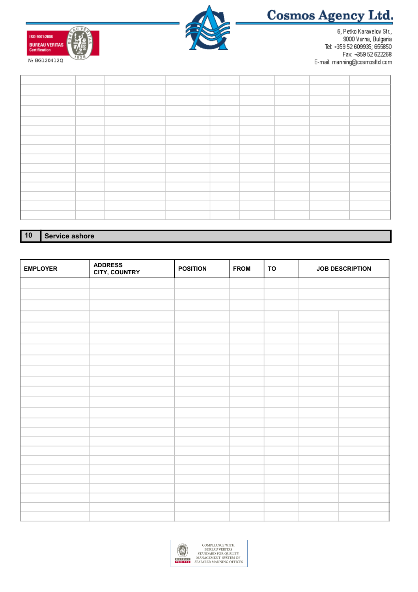





6, Petko Karavelov Str., 9000 Varna, Bulgaria Tel: +359 52 609935; 655850 Fax: +359 52 622268 E-mail: manning@cosmosItd.com

**10 Service ashore**

| <b>EMPLOYER</b> | <b>ADDRESS<br/>CITY, COUNTRY</b> | <b>POSITION</b> | <b>FROM</b> | <b>TO</b> | <b>JOB DESCRIPTION</b> |  |
|-----------------|----------------------------------|-----------------|-------------|-----------|------------------------|--|
|                 |                                  |                 |             |           |                        |  |
|                 |                                  |                 |             |           |                        |  |
|                 |                                  |                 |             |           |                        |  |
|                 |                                  |                 |             |           |                        |  |
|                 |                                  |                 |             |           |                        |  |
|                 |                                  |                 |             |           |                        |  |
|                 |                                  |                 |             |           |                        |  |
|                 |                                  |                 |             |           |                        |  |
|                 |                                  |                 |             |           |                        |  |
|                 |                                  |                 |             |           |                        |  |
|                 |                                  |                 |             |           |                        |  |
|                 |                                  |                 |             |           |                        |  |
|                 |                                  |                 |             |           |                        |  |
|                 |                                  |                 |             |           |                        |  |
|                 |                                  |                 |             |           |                        |  |
|                 |                                  |                 |             |           |                        |  |
|                 |                                  |                 |             |           |                        |  |
|                 |                                  |                 |             |           |                        |  |
|                 |                                  |                 |             |           |                        |  |
|                 |                                  |                 |             |           |                        |  |
|                 |                                  |                 |             |           |                        |  |
|                 |                                  |                 |             |           |                        |  |
|                 |                                  |                 |             |           |                        |  |
|                 |                                  |                 |             |           |                        |  |